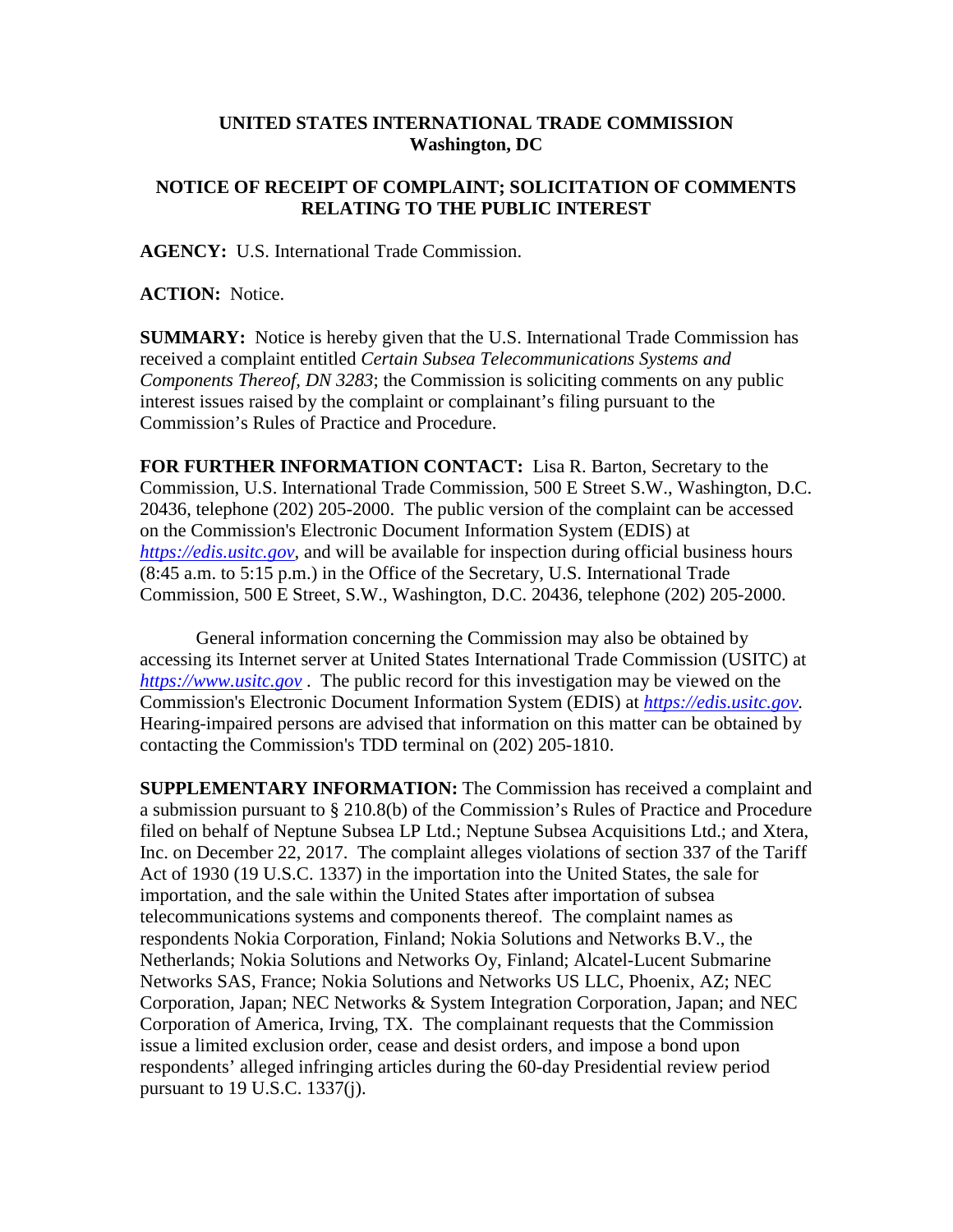## **UNITED STATES INTERNATIONAL TRADE COMMISSION Washington, DC**

## **NOTICE OF RECEIPT OF COMPLAINT; SOLICITATION OF COMMENTS RELATING TO THE PUBLIC INTEREST**

**AGENCY:** U.S. International Trade Commission.

**ACTION:** Notice.

**SUMMARY:** Notice is hereby given that the U.S. International Trade Commission has received a complaint entitled *Certain Subsea Telecommunications Systems and Components Thereof, DN 3283*; the Commission is soliciting comments on any public interest issues raised by the complaint or complainant's filing pursuant to the Commission's Rules of Practice and Procedure.

**FOR FURTHER INFORMATION CONTACT:** Lisa R. Barton, Secretary to the Commission, U.S. International Trade Commission, 500 E Street S.W., Washington, D.C. 20436, telephone (202) 205-2000. The public version of the complaint can be accessed on the Commission's Electronic Document Information System (EDIS) at *[https://edis.usitc.gov](https://edis.usitc.gov/)*, and will be available for inspection during official business hours (8:45 a.m. to 5:15 p.m.) in the Office of the Secretary, U.S. International Trade Commission, 500 E Street, S.W., Washington, D.C. 20436, telephone (202) 205-2000.

General information concerning the Commission may also be obtained by accessing its Internet server at United States International Trade Commission (USITC) at *[https://www.usitc.gov](https://www.usitc.gov/)* . The public record for this investigation may be viewed on the Commission's Electronic Document Information System (EDIS) at *[https://edis.usitc.gov.](https://edis.usitc.gov/)* Hearing-impaired persons are advised that information on this matter can be obtained by contacting the Commission's TDD terminal on (202) 205-1810.

**SUPPLEMENTARY INFORMATION:** The Commission has received a complaint and a submission pursuant to § 210.8(b) of the Commission's Rules of Practice and Procedure filed on behalf of Neptune Subsea LP Ltd.; Neptune Subsea Acquisitions Ltd.; and Xtera, Inc. on December 22, 2017. The complaint alleges violations of section 337 of the Tariff Act of 1930 (19 U.S.C. 1337) in the importation into the United States, the sale for importation, and the sale within the United States after importation of subsea telecommunications systems and components thereof. The complaint names as respondents Nokia Corporation, Finland; Nokia Solutions and Networks B.V., the Netherlands; Nokia Solutions and Networks Oy, Finland; Alcatel-Lucent Submarine Networks SAS, France; Nokia Solutions and Networks US LLC, Phoenix, AZ; NEC Corporation, Japan; NEC Networks & System Integration Corporation, Japan; and NEC Corporation of America, Irving, TX. The complainant requests that the Commission issue a limited exclusion order, cease and desist orders, and impose a bond upon respondents' alleged infringing articles during the 60-day Presidential review period pursuant to 19 U.S.C. 1337(j).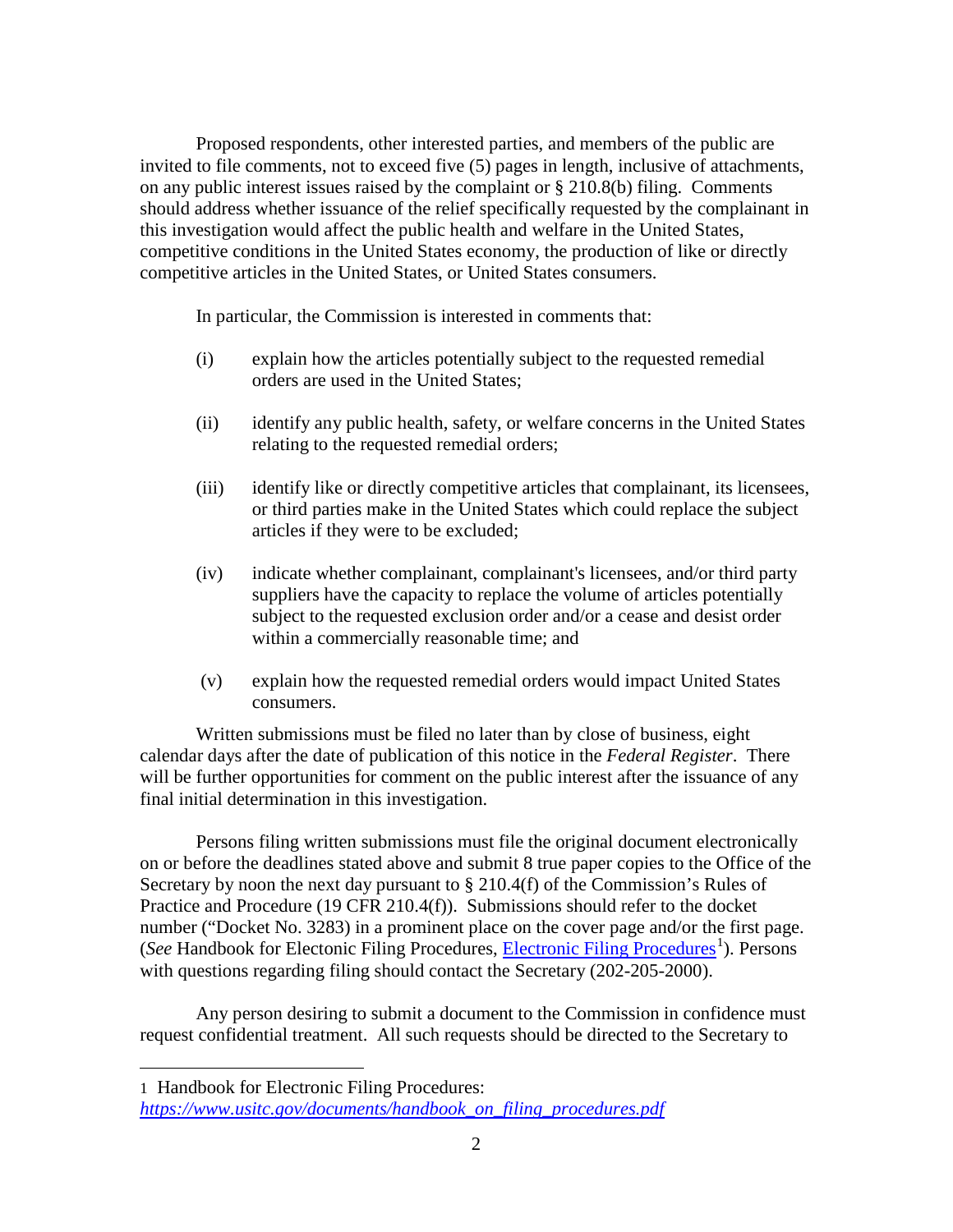Proposed respondents, other interested parties, and members of the public are invited to file comments, not to exceed five (5) pages in length, inclusive of attachments, on any public interest issues raised by the complaint or § 210.8(b) filing. Comments should address whether issuance of the relief specifically requested by the complainant in this investigation would affect the public health and welfare in the United States, competitive conditions in the United States economy, the production of like or directly competitive articles in the United States, or United States consumers.

In particular, the Commission is interested in comments that:

- (i) explain how the articles potentially subject to the requested remedial orders are used in the United States;
- (ii) identify any public health, safety, or welfare concerns in the United States relating to the requested remedial orders;
- (iii) identify like or directly competitive articles that complainant, its licensees, or third parties make in the United States which could replace the subject articles if they were to be excluded;
- (iv) indicate whether complainant, complainant's licensees, and/or third party suppliers have the capacity to replace the volume of articles potentially subject to the requested exclusion order and/or a cease and desist order within a commercially reasonable time; and
- (v) explain how the requested remedial orders would impact United States consumers.

Written submissions must be filed no later than by close of business, eight calendar days after the date of publication of this notice in the *Federal Register*. There will be further opportunities for comment on the public interest after the issuance of any final initial determination in this investigation.

Persons filing written submissions must file the original document electronically on or before the deadlines stated above and submit 8 true paper copies to the Office of the Secretary by noon the next day pursuant to  $\S 210.4(f)$  of the Commission's Rules of Practice and Procedure (19 CFR 210.4(f)). Submissions should refer to the docket number ("Docket No. 3283) in a prominent place on the cover page and/or the first page. (See Handbook for Electonic Filing Procedures, *Electronic Filing Procedures*<sup>[1](#page-1-0)</sup>). Persons with questions regarding filing should contact the Secretary (202-205-2000).

Any person desiring to submit a document to the Commission in confidence must request confidential treatment. All such requests should be directed to the Secretary to

 $\overline{a}$ 

<span id="page-1-0"></span><sup>1</sup> Handbook for Electronic Filing Procedures:

*[https://www.usitc.gov/documents/handbook\\_on\\_filing\\_procedures.pdf](https://www.usitc.gov/documents/handbook_on_filing_procedures.pdf)*